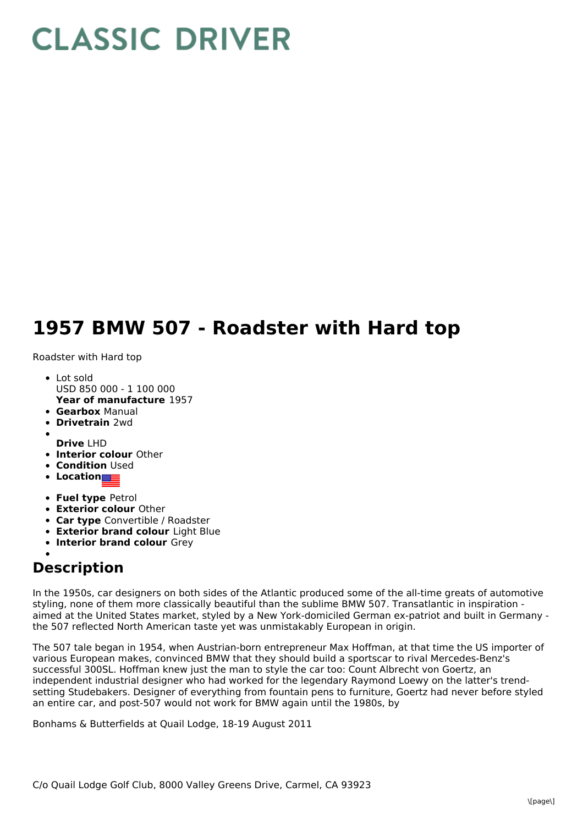## **CLASSIC DRIVER**

## **1957 BMW 507 - Roadster with Hard top**

Roadster with Hard top

- **Year of manufacture** 1957 Lot sold USD 850 000 - 1 100 000
- **Gearbox** Manual
- **Drivetrain** 2wd
- **Drive** LHD
- **Interior colour** Other
- **Condition** Used
- **Location**
- **Fuel type** Petrol
- **Exterior colour** Other
- **Car type** Convertible / Roadster
- **Exterior brand colour** Light Blue
- **Interior brand colour** Grey

## **Description**

In the 1950s, car designers on both sides of the Atlantic produced some of the all-time greats of automotive styling, none of them more classically beautiful than the sublime BMW 507. Transatlantic in inspiration aimed at the United States market, styled by a New York-domiciled German ex-patriot and built in Germany the 507 reflected North American taste yet was unmistakably European in origin.

The 507 tale began in 1954, when Austrian-born entrepreneur Max Hoffman, at that time the US importer of various European makes, convinced BMW that they should build a sportscar to rival Mercedes-Benz's successful 300SL. Hoffman knew just the man to style the car too: Count Albrecht von Goertz, an independent industrial designer who had worked for the legendary Raymond Loewy on the latter's trendsetting Studebakers. Designer of everything from fountain pens to furniture, Goertz had never before styled an entire car, and post-507 would not work for BMW again until the 1980s, by

Bonhams & Butterfields at Quail Lodge, 18-19 August 2011